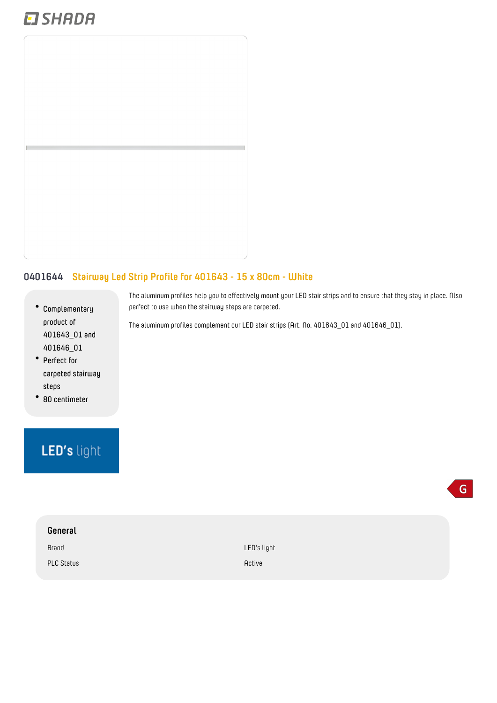## **EI SHADA**



## **0401644 Stairway Led Strip Profile for 401643 - 15 x 80cm - White**

- **Complementary product of 401643\_01 and 401646\_01**
- **Perfect for carpeted stairway steps**
- **80 centimeter**

## LED's light

| General           |             |
|-------------------|-------------|
| Brand             | LED's light |
| <b>PLC Status</b> | Active      |

The aluminum profiles help you to effectively mount your LED stair strips and to ensure that they stay in place. Also perfect to use when the stairway steps are carpeted.

 $\mathsf{G}$ 

The aluminum profiles complement our LED stair strips (Art. No. 401643\_01 and 401646\_01).